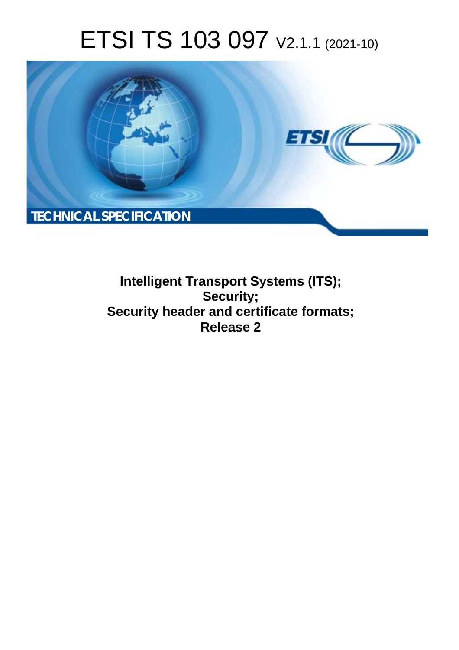# ETSI TS 103 097 V2.1.1 (2021-10)



**Intelligent Transport Systems (ITS); Security; Security header and certificate formats; Release 2**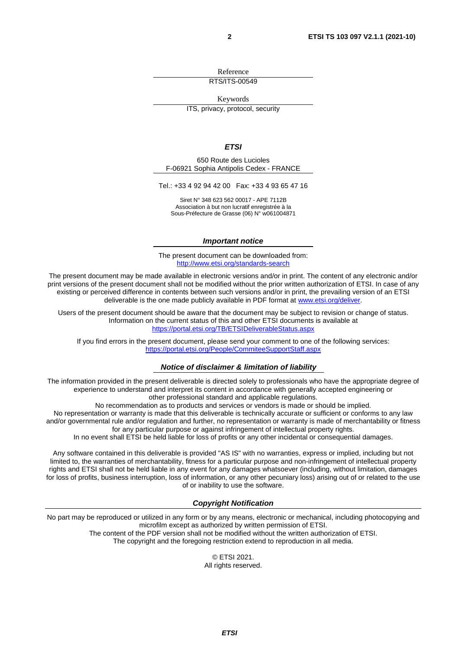Reference

RTS/ITS-00549

Keywords

ITS, privacy, protocol, security

#### *ETSI*

650 Route des Lucioles F-06921 Sophia Antipolis Cedex - FRANCE

Tel.: +33 4 92 94 42 00 Fax: +33 4 93 65 47 16

Siret N° 348 623 562 00017 - APE 7112B Association à but non lucratif enregistrée à la Sous-Préfecture de Grasse (06) N° w061004871

#### *Important notice*

The present document can be downloaded from: <http://www.etsi.org/standards-search>

The present document may be made available in electronic versions and/or in print. The content of any electronic and/or print versions of the present document shall not be modified without the prior written authorization of ETSI. In case of any existing or perceived difference in contents between such versions and/or in print, the prevailing version of an ETSI deliverable is the one made publicly available in PDF format at [www.etsi.org/deliver](http://www.etsi.org/deliver).

Users of the present document should be aware that the document may be subject to revision or change of status. Information on the current status of this and other ETSI documents is available at <https://portal.etsi.org/TB/ETSIDeliverableStatus.aspx>

If you find errors in the present document, please send your comment to one of the following services: <https://portal.etsi.org/People/CommiteeSupportStaff.aspx>

#### *Notice of disclaimer & limitation of liability*

The information provided in the present deliverable is directed solely to professionals who have the appropriate degree of experience to understand and interpret its content in accordance with generally accepted engineering or other professional standard and applicable regulations.

No recommendation as to products and services or vendors is made or should be implied.

No representation or warranty is made that this deliverable is technically accurate or sufficient or conforms to any law and/or governmental rule and/or regulation and further, no representation or warranty is made of merchantability or fitness for any particular purpose or against infringement of intellectual property rights.

In no event shall ETSI be held liable for loss of profits or any other incidental or consequential damages.

Any software contained in this deliverable is provided "AS IS" with no warranties, express or implied, including but not limited to, the warranties of merchantability, fitness for a particular purpose and non-infringement of intellectual property rights and ETSI shall not be held liable in any event for any damages whatsoever (including, without limitation, damages for loss of profits, business interruption, loss of information, or any other pecuniary loss) arising out of or related to the use of or inability to use the software.

#### *Copyright Notification*

No part may be reproduced or utilized in any form or by any means, electronic or mechanical, including photocopying and microfilm except as authorized by written permission of ETSI. The content of the PDF version shall not be modified without the written authorization of ETSI.

The copyright and the foregoing restriction extend to reproduction in all media.

© ETSI 2021. All rights reserved.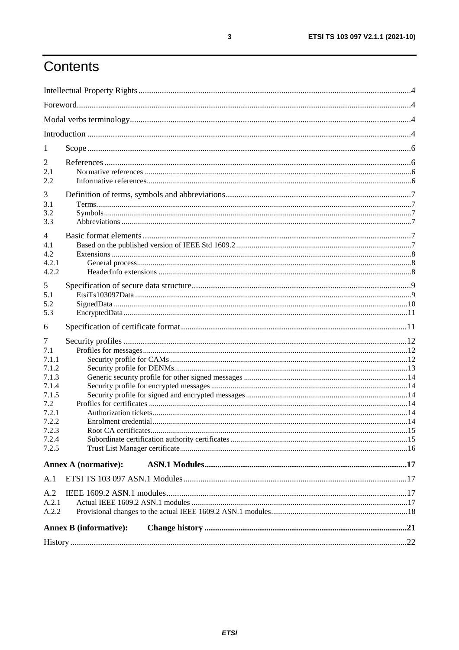## Contents

| $\mathbf{I}$                                                                                              |                               |  |
|-----------------------------------------------------------------------------------------------------------|-------------------------------|--|
| 2<br>2.1<br>2.2                                                                                           |                               |  |
| 3<br>3.1<br>3.2<br>3.3                                                                                    |                               |  |
| 4<br>4.1<br>4.2<br>4.2.1<br>4.2.2                                                                         |                               |  |
| 5<br>5.1<br>5.2<br>5.3                                                                                    |                               |  |
| 6                                                                                                         |                               |  |
| 7<br>7.1<br>7.1.1<br>7.1.2<br>7.1.3<br>7.1.4<br>7.1.5<br>7.2<br>7.2.1<br>7.2.2<br>7.2.3<br>7.2.4<br>7.2.5 | Root CA certificates.         |  |
|                                                                                                           | <b>Annex A (normative):</b>   |  |
| A.1                                                                                                       |                               |  |
| A.2<br>A.2.1<br>A.2.2                                                                                     |                               |  |
|                                                                                                           | <b>Annex B</b> (informative): |  |
|                                                                                                           |                               |  |

 $\mathbf{3}$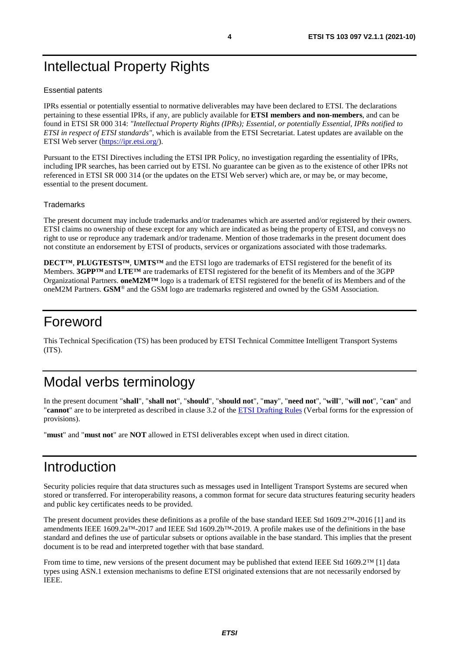## <span id="page-3-0"></span>Intellectual Property Rights

#### Essential patents

IPRs essential or potentially essential to normative deliverables may have been declared to ETSI. The declarations pertaining to these essential IPRs, if any, are publicly available for **ETSI members and non-members**, and can be found in ETSI SR 000 314: *"Intellectual Property Rights (IPRs); Essential, or potentially Essential, IPRs notified to ETSI in respect of ETSI standards"*, which is available from the ETSI Secretariat. Latest updates are available on the ETSI Web server ([https://ipr.etsi.org/\)](https://ipr.etsi.org/).

Pursuant to the ETSI Directives including the ETSI IPR Policy, no investigation regarding the essentiality of IPRs, including IPR searches, has been carried out by ETSI. No guarantee can be given as to the existence of other IPRs not referenced in ETSI SR 000 314 (or the updates on the ETSI Web server) which are, or may be, or may become, essential to the present document.

#### **Trademarks**

The present document may include trademarks and/or tradenames which are asserted and/or registered by their owners. ETSI claims no ownership of these except for any which are indicated as being the property of ETSI, and conveys no right to use or reproduce any trademark and/or tradename. Mention of those trademarks in the present document does not constitute an endorsement by ETSI of products, services or organizations associated with those trademarks.

**DECT™**, **PLUGTESTS™**, **UMTS™** and the ETSI logo are trademarks of ETSI registered for the benefit of its Members. **3GPP™** and **LTE™** are trademarks of ETSI registered for the benefit of its Members and of the 3GPP Organizational Partners. **oneM2M™** logo is a trademark of ETSI registered for the benefit of its Members and of the oneM2M Partners. **GSM**® and the GSM logo are trademarks registered and owned by the GSM Association.

## Foreword

This Technical Specification (TS) has been produced by ETSI Technical Committee Intelligent Transport Systems (ITS).

## Modal verbs terminology

In the present document "**shall**", "**shall not**", "**should**", "**should not**", "**may**", "**need not**", "**will**", "**will not**", "**can**" and "**cannot**" are to be interpreted as described in clause 3.2 of the [ETSI Drafting Rules](https://portal.etsi.org/Services/editHelp!/Howtostart/ETSIDraftingRules.aspx) (Verbal forms for the expression of provisions).

"**must**" and "**must not**" are **NOT** allowed in ETSI deliverables except when used in direct citation.

### Introduction

Security policies require that data structures such as messages used in Intelligent Transport Systems are secured when stored or transferred. For interoperability reasons, a common format for secure data structures featuring security headers and public key certificates needs to be provided.

The present document provides these definitions as a profile of the base standard IEEE Std 1609.2™-2016 [\[1\]](#page-5-0) and its amendments IEEE 1609.2a™-2017 and IEEE Std 1609.2b™-2019. A profile makes use of the definitions in the base standard and defines the use of particular subsets or options available in the base standard. This implies that the present document is to be read and interpreted together with that base standard.

From time to time, new versions of the present document may be published that extend IEEE Std 1609.2™ [\[1](#page-5-0)] data types using ASN.1 extension mechanisms to define ETSI originated extensions that are not necessarily endorsed by IEEE.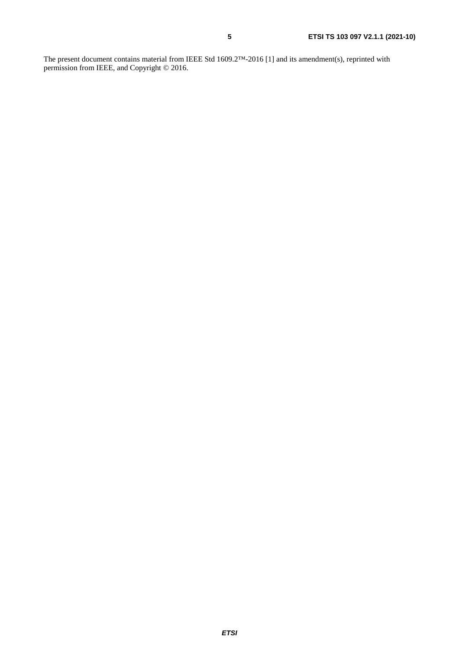The present document contains material from IEEE Std 1609.2™-2016 [[1\]](#page-5-0) and its amendment(s), reprinted with permission from IEEE, and Copyright © 2016.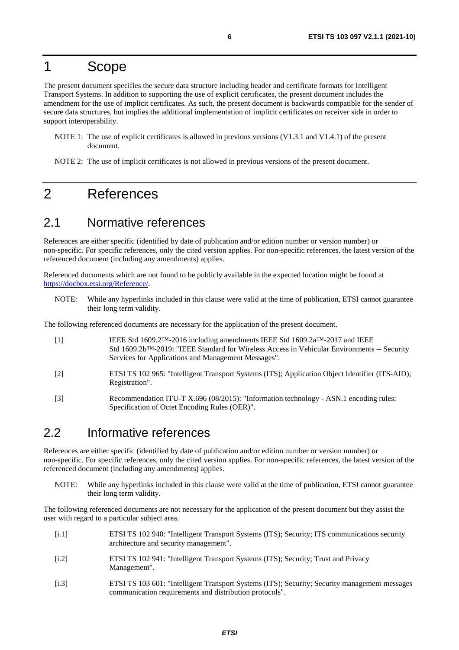### <span id="page-5-0"></span>1 Scope

The present document specifies the secure data structure including header and certificate formats for Intelligent Transport Systems. In addition to supporting the use of explicit certificates, the present document includes the amendment for the use of implicit certificates. As such, the present document is backwards compatible for the sender of secure data structures, but implies the additional implementation of implicit certificates on receiver side in order to support interoperability.

- NOTE 1: The use of explicit certificates is allowed in previous versions (V1.3.1 and V1.4.1) of the present document.
- NOTE 2: The use of implicit certificates is not allowed in previous versions of the present document.

### 2 References

### 2.1 Normative references

References are either specific (identified by date of publication and/or edition number or version number) or non-specific. For specific references, only the cited version applies. For non-specific references, the latest version of the referenced document (including any amendments) applies.

Referenced documents which are not found to be publicly available in the expected location might be found at <https://docbox.etsi.org/Reference/>.

NOTE: While any hyperlinks included in this clause were valid at the time of publication, ETSI cannot guarantee their long term validity.

The following referenced documents are necessary for the application of the present document.

[1] IEEE Std 1609.2™-2016 including amendments IEEE Std 1609.2a™-2017 and IEEE Std 1609.2b™-2019: "IEEE Standard for Wireless Access in Vehicular Environments -- Security Services for Applications and Management Messages". [2] ETSI TS 102 965: "Intelligent Transport Systems (ITS); Application Object Identifier (ITS-AID); Registration". [3] Recommendation ITU-T X.696 (08/2015): "Information technology - ASN.1 encoding rules: Specification of Octet Encoding Rules (OER)".

### 2.2 Informative references

References are either specific (identified by date of publication and/or edition number or version number) or non-specific. For specific references, only the cited version applies. For non-specific references, the latest version of the referenced document (including any amendments) applies.

NOTE: While any hyperlinks included in this clause were valid at the time of publication, ETSI cannot guarantee their long term validity.

The following referenced documents are not necessary for the application of the present document but they assist the user with regard to a particular subject area.

- [i.1] ETSI TS 102 940: "Intelligent Transport Systems (ITS); Security; ITS communications security architecture and security management".
- [i.2] ETSI TS 102 941: "Intelligent Transport Systems (ITS); Security; Trust and Privacy Management".
- [i.3] ETSI TS 103 601: "Intelligent Transport Systems (ITS); Security; Security management messages communication requirements and distribution protocols".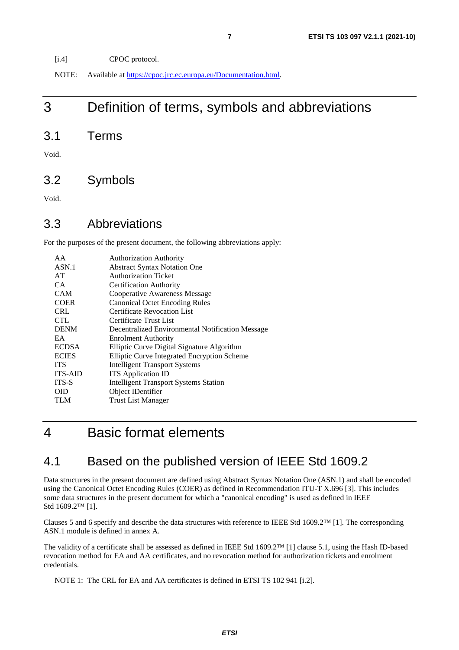<span id="page-6-0"></span>[i.4] CPOC protocol.

NOTE: Available at<https://cpoc.jrc.ec.europa.eu/Documentation.html>.

## 3 Definition of terms, symbols and abbreviations

3.1 Terms

Void.

3.2 Symbols

Void.

#### 3.3 Abbreviations

For the purposes of the present document, the following abbreviations apply:

| AA             | <b>Authorization Authority</b>                   |
|----------------|--------------------------------------------------|
| ASN.1          | <b>Abstract Syntax Notation One</b>              |
| AT             | <b>Authorization Ticket</b>                      |
| CA.            | <b>Certification Authority</b>                   |
| <b>CAM</b>     | <b>Cooperative Awareness Message</b>             |
| <b>COER</b>    | <b>Canonical Octet Encoding Rules</b>            |
| <b>CRL</b>     | Certificate Revocation List                      |
| <b>CTL</b>     | Certificate Trust List                           |
| <b>DENM</b>    | Decentralized Environmental Notification Message |
| EA             | <b>Enrolment Authority</b>                       |
| <b>ECDSA</b>   | Elliptic Curve Digital Signature Algorithm       |
| <b>ECIES</b>   | Elliptic Curve Integrated Encryption Scheme      |
| <b>ITS</b>     | <b>Intelligent Transport Systems</b>             |
| <b>ITS-AID</b> | <b>ITS</b> Application <b>ID</b>                 |
| ITS-S          | <b>Intelligent Transport Systems Station</b>     |
| <b>OID</b>     | Object IDentifier                                |
| <b>TLM</b>     | <b>Trust List Manager</b>                        |

### 4 Basic format elements

### 4.1 Based on the published version of IEEE Std 1609.2

Data structures in the present document are defined using Abstract Syntax Notation One (ASN.1) and shall be encoded using the Canonical Octet Encoding Rules (COER) as defined in Recommendation ITU-T X.696 [\[3](#page-5-0)]. This includes some data structures in the present document for which a "canonical encoding" is used as defined in IEEE Std 1609.2™ [\[1](#page-5-0)].

Clauses 5 and 6 specify and describe the data structures with reference to IEEE Std 1609.2™ [[1\]](#page-5-0). The corresponding ASN.1 module is defined in annex A.

The validity of a certificate shall be assessed as defined in IEEE Std 1609.2™ [[1\]](#page-5-0) clause 5.1, using the Hash ID-based revocation method for EA and AA certificates, and no revocation method for authorization tickets and enrolment credentials.

NOTE 1: The CRL for EA and AA certificates is defined in ETSI TS 102 941 [\[i.2](#page-5-0)].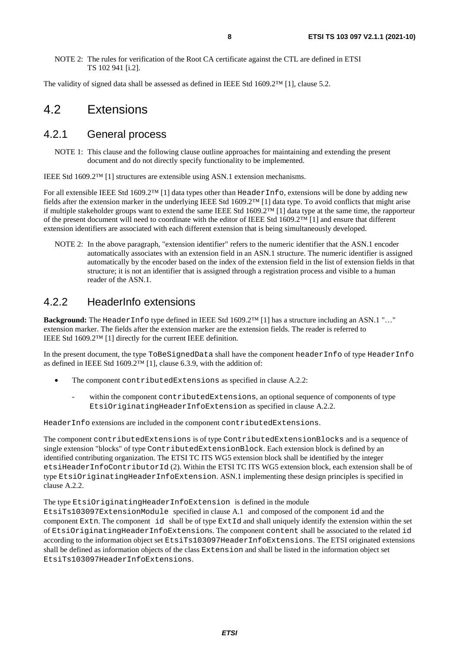<span id="page-7-0"></span>NOTE 2: The rules for verification of the Root CA certificate against the CTL are defined in ETSI TS 102 941 [\[i.2](#page-5-0)].

The validity of signed data shall be assessed as defined in IEEE Std  $1609.2^{TM}$  [[1\]](#page-5-0), clause 5.2.

### 4.2 Extensions

#### 4.2.1 General process

NOTE 1: This clause and the following clause outline approaches for maintaining and extending the present document and do not directly specify functionality to be implemented.

IEEE Std 1609.2™ [[1\]](#page-5-0) structures are extensible using ASN.1 extension mechanisms.

For all extensible IEEE Std 1609.2™ [[1\]](#page-5-0) data types other than HeaderInfo, extensions will be done by adding new fields after the extension marker in the underlying IEEE Std 1609.2™ [[1\]](#page-5-0) data type. To avoid conflicts that might arise if multiple stakeholder groups want to extend the same IEEE Std 1609.2<sup>™</sup> [\[1](#page-5-0)] data type at the same time, the rapporteur of the present document will need to coordinate with the editor of IEEE Std 1609.2™ [[1\]](#page-5-0) and ensure that different extension identifiers are associated with each different extension that is being simultaneously developed.

NOTE 2: In the above paragraph, "extension identifier" refers to the numeric identifier that the ASN.1 encoder automatically associates with an extension field in an ASN.1 structure. The numeric identifier is assigned automatically by the encoder based on the index of the extension field in the list of extension fields in that structure; it is not an identifier that is assigned through a registration process and visible to a human reader of the ASN.1.

#### 4.2.2 HeaderInfo extensions

**Background:** The HeaderInfo type defined in IEEE Std 1609.2™ [\[1](#page-5-0)] has a structure including an ASN.1 "…" extension marker. The fields after the extension marker are the extension fields. The reader is referred to IEEE Std 1609.2™ [[1\]](#page-5-0) directly for the current IEEE definition.

In the present document, the type ToBeSignedData shall have the component headerInfo of type HeaderInfo as defined in IEEE Std 1609.2™ [\[1](#page-5-0)], clause 6.3.9, with the addition of:

- The component contributedExtensions as specified in clause A.2.2:
	- within the component contributedExtensions, an optional sequence of components of type EtsiOriginatingHeaderInfoExtension as specified in clause A.2.2.

HeaderInfo extensions are included in the component contributedExtensions.

The component contributedExtensions is of type ContributedExtensionBlocks and is a sequence of single extension "blocks" of type ContributedExtensionBlock. Each extension block is defined by an identified contributing organization. The ETSI TC ITS WG5 extension block shall be identified by the integer etsiHeaderInfoContributorId (2). Within the ETSI TC ITS WG5 extension block, each extension shall be of type EtsiOriginatingHeaderInfoExtension. ASN.1 implementing these design principles is specified in clause A.2.2.

The type EtsiOriginatingHeaderInfoExtension is defined in the module

EtsiTs103097ExtensionModule specified in clause A.1 and composed of the component id and the component Extn. The component id shall be of type ExtId and shall uniquely identify the extension within the set of EtsiOriginatingHeaderInfoExtensions. The component content shall be associated to the related id according to the information object set EtsiTs103097HeaderInfoExtensions. The ETSI originated extensions shall be defined as information objects of the class Extension and shall be listed in the information object set EtsiTs103097HeaderInfoExtensions.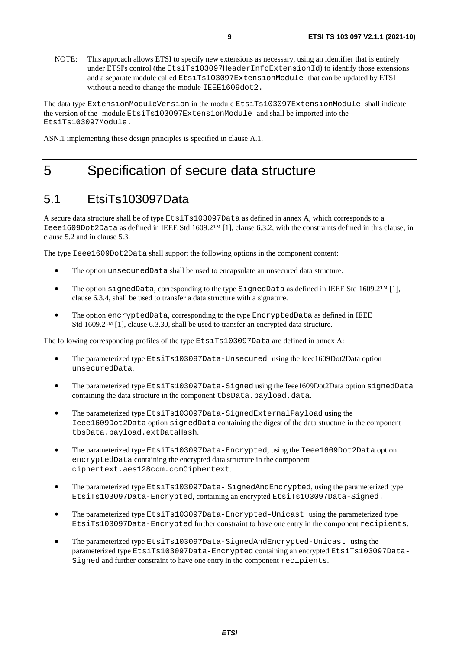<span id="page-8-0"></span>NOTE: This approach allows ETSI to specify new extensions as necessary, using an identifier that is entirely under ETSI's control (the EtsiTs103097HeaderInfoExtensionId) to identify those extensions and a separate module called EtsiTs103097ExtensionModule that can be updated by ETSI without a need to change the module IEEE1609dot2.

The data type ExtensionModuleVersion in the module EtsiTs103097ExtensionModule shall indicate the version of the module EtsiTs103097ExtensionModule and shall be imported into the EtsiTs103097Module.

ASN.1 implementing these design principles is specified in clause A.1.

## 5 Specification of secure data structure

### 5.1 EtsiTs103097Data

A secure data structure shall be of type EtsiTs103097Data as defined in annex A, which corresponds to a Ieee1609Dot2Data as defined in IEEE Std 1609.2™ [[1\]](#page-5-0), clause 6.3.2, with the constraints defined in this clause, in clause 5.2 and in clause 5.3.

The type Ieee1609Dot2Data shall support the following options in the component content:

- The option unsecuredData shall be used to encapsulate an unsecured data structure.
- The option signedData, corresponding to the type SignedData as defined in IEEE Std 1609.2™ [\[1](#page-5-0)], clause 6.3.4, shall be used to transfer a data structure with a signature.
- The option encryptedData, corresponding to the type EncryptedData as defined in IEEE Std 1609.2™ [\[1](#page-5-0)], clause 6.3.30, shall be used to transfer an encrypted data structure.

The following corresponding profiles of the type EtsiTs103097Data are defined in annex A:

- The parameterized type EtsiTs103097Data-Unsecured using the Ieee1609Dot2Data option unsecuredData.
- The parameterized type EtsiTs103097Data-Signed using the Ieee1609Dot2Data option signedData containing the data structure in the component tbsData.payload.data.
- The parameterized type EtsiTs103097Data-SignedExternalPayload using the Ieee1609Dot2Data option signedData containing the digest of the data structure in the component tbsData.payload.extDataHash.
- The parameterized type EtsiTs103097Data-Encrypted, using the Ieee1609Dot2Data option encryptedData containing the encrypted data structure in the component ciphertext.aes128ccm.ccmCiphertext.
- The parameterized type EtsiTs103097Data- SignedAndEncrypted, using the parameterized type EtsiTs103097Data-Encrypted, containing an encrypted EtsiTs103097Data-Signed.
- The parameterized type EtsiTs103097Data-Encrypted-Unicast using the parameterized type EtsiTs103097Data-Encrypted further constraint to have one entry in the component recipients.
- The parameterized type EtsiTs103097Data-SignedAndEncrypted-Unicast using the parameterized type EtsiTs103097Data-Encrypted containing an encrypted EtsiTs103097Data-Signed and further constraint to have one entry in the component recipients.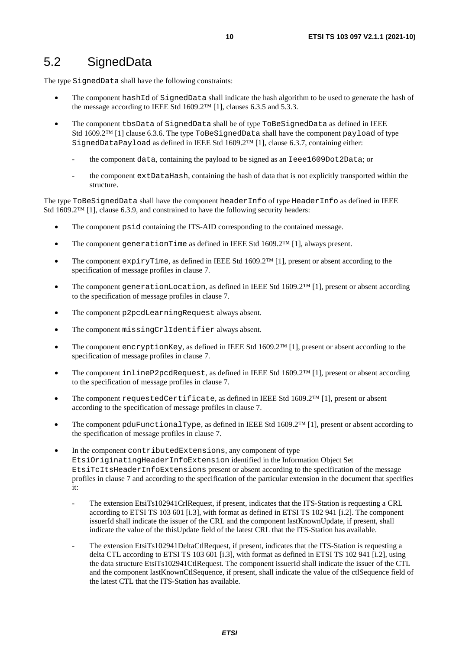### <span id="page-9-0"></span>5.2 SignedData

The type SignedData shall have the following constraints:

- The component hashId of SignedData shall indicate the hash algorithm to be used to generate the hash of the message according to IEEE Std  $1609.2^{TM}$  [\[1](#page-5-0)], clauses 6.3.5 and 5.3.3.
- The component tbsData of SignedData shall be of type ToBeSignedData as defined in IEEE Std 1609.2™ [\[1](#page-5-0)] clause 6.3.6. The type ToBeSignedData shall have the component payload of type SignedDataPayload as defined in IEEE Std  $1609.2^{TM}$  [\[1](#page-5-0)], clause 6.3.7, containing either:
	- the component data, containing the payload to be signed as an Ieee1609Dot2Data; or
	- the component extDataHash, containing the hash of data that is not explicitly transported within the structure.

The type ToBeSignedData shall have the component headerInfo of type HeaderInfo as defined in IEEE Std 1609.2™ [\[1](#page-5-0)], clause 6.3.9, and constrained to have the following security headers:

- The component psid containing the ITS-AID corresponding to the contained message.
- The component generationTime as defined in IEEE Std 1609.2™ [\[1](#page-5-0)], always present.
- The component expiryTime, as defined in IEEE Std 1609.2<sup>TM</sup> [\[1](#page-5-0)], present or absent according to the specification of message profiles in clause 7.
- The component generationLocation, as defined in IEEE Std 1609.2™ [\[1](#page-5-0)], present or absent according to the specification of message profiles in clause 7.
- The component p2pcdLearningRequest always absent.
- The component missingCrlIdentifier always absent.
- The component encryptionKey, as defined in IEEE Std 1609.2™ [\[1](#page-5-0)], present or absent according to the specification of message profiles in clause 7.
- The component inlineP2pcdRequest, as defined in IEEE Std 1609.2™ [\[1](#page-5-0)], present or absent according to the specification of message profiles in clause 7.
- The component requestedCertificate, as defined in IEEE Std 1609.2™ [\[1](#page-5-0)], present or absent according to the specification of message profiles in clause 7.
- The component pduFunctionalType, as defined in IEEE Std 1609.2™ [\[1](#page-5-0)], present or absent according to the specification of message profiles in clause 7.
- In the component contributedExtensions, any component of type EtsiOriginatingHeaderInfoExtension identified in the Information Object Set EtsiTcItsHeaderInfoExtensions present or absent according to the specification of the message profiles in clause 7 and according to the specification of the particular extension in the document that specifies it:
	- The extension EtsiTs102941CrlRequest, if present, indicates that the ITS-Station is requesting a CRL according to ETSI TS 103 601 [\[i.3](#page-5-0)], with format as defined in ETSI TS 102 941 [\[i.2](#page-5-0)]. The component issuerId shall indicate the issuer of the CRL and the component lastKnownUpdate, if present, shall indicate the value of the thisUpdate field of the latest CRL that the ITS-Station has available.
	- The extension EtsiTs102941DeltaCtlRequest, if present, indicates that the ITS-Station is requesting a delta CTL according to ETSI TS 103 601 [[i.3](#page-5-0)], with format as defined in ETSI TS 102 941 [\[i.2](#page-5-0)], using the data structure EtsiTs102941CtlRequest. The component issuerId shall indicate the issuer of the CTL and the component lastKnownCtlSequence, if present, shall indicate the value of the ctlSequence field of the latest CTL that the ITS-Station has available.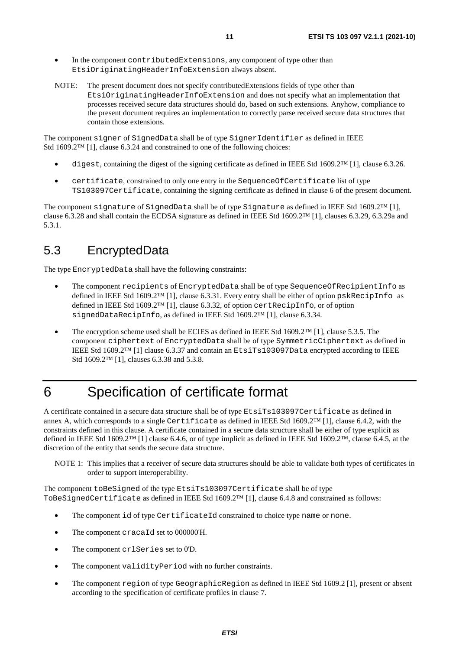- <span id="page-10-0"></span>In the component contributedExtensions, any component of type other than EtsiOriginatingHeaderInfoExtension always absent.
- NOTE: The present document does not specify contributedExtensions fields of type other than EtsiOriginatingHeaderInfoExtension and does not specify what an implementation that processes received secure data structures should do, based on such extensions. Anyhow, compliance to the present document requires an implementation to correctly parse received secure data structures that contain those extensions.

The component signer of SignedData shall be of type SignerIdentifier as defined in IEEE Std 1609.2™ [\[1](#page-5-0)], clause 6.3.24 and constrained to one of the following choices:

- digest, containing the digest of the signing certificate as defined in IEEE Std 1609.2™ [[1\]](#page-5-0), clause 6.3.26.
- certificate, constrained to only one entry in the SequenceOfCertificate list of type TS103097Certificate, containing the signing certificate as defined in clause 6 of the present document.

The component signature of SignedData shall be of type Signature as defined in IEEE Std 1609.2™ [[1\]](#page-5-0), clause 6.3.28 and shall contain the ECDSA signature as defined in IEEE Std 1609.2™ [[1\]](#page-5-0), clauses 6.3.29, 6.3.29a and 5.3.1.

### 5.3 EncryptedData

The type EncryptedData shall have the following constraints:

- The component recipients of EncryptedData shall be of type SequenceOfRecipientInfo as defined in IEEE Std 1609.2™ [\[1](#page-5-0)], clause 6.3.31. Every entry shall be either of option pskRecipInfo as defined in IEEE Std 1609.2™ [\[1](#page-5-0)], clause 6.3.32, of option certRecipInfo, or of option signedDataRecipInfo, as defined in IEEE Std 1609.2™ [\[1](#page-5-0)], clause 6.3.34.
- The encryption scheme used shall be ECIES as defined in IEEE Std 1609.2<sup>TM</sup> [\[1](#page-5-0)], clause 5.3.5. The component ciphertext of EncryptedData shall be of type SymmetricCiphertext as defined in IEEE Std 1609.2™ [[1\]](#page-5-0) clause 6.3.37 and contain an EtsiTs103097Data encrypted according to IEEE Std 1609.2™ [\[1](#page-5-0)], clauses 6.3.38 and 5.3.8.

## 6 Specification of certificate format

A certificate contained in a secure data structure shall be of type EtsiTs103097Certificate as defined in annex A, which corresponds to a single Certificate as defined in IEEE Std 1609.2™ [[1\]](#page-5-0), clause 6.4.2, with the constraints defined in this clause. A certificate contained in a secure data structure shall be either of type explicit as defined in IEEE Std 1609.2<sup>TM</sup> [\[1](#page-5-0)] clause 6.4.6, or of type implicit as defined in IEEE Std 1609.2<sup>TM</sup>, clause 6.4.5, at the discretion of the entity that sends the secure data structure.

NOTE 1: This implies that a receiver of secure data structures should be able to validate both types of certificates in order to support interoperability.

The component toBeSigned of the type EtsiTs103097Certificate shall be of type ToBeSignedCertificate as defined in IEEE Std 1609.2™ [[1\]](#page-5-0), clause 6.4.8 and constrained as follows:

- The component id of type CertificateId constrained to choice type name or none.
- The component cracaId set to 000000'H.
- The component crlSeries set to 0'D.
- The component validityPeriod with no further constraints.
- The component region of type GeographicRegion as defined in IEEE Std 1609.2 [[1\]](#page-5-0), present or absent according to the specification of certificate profiles in clause 7.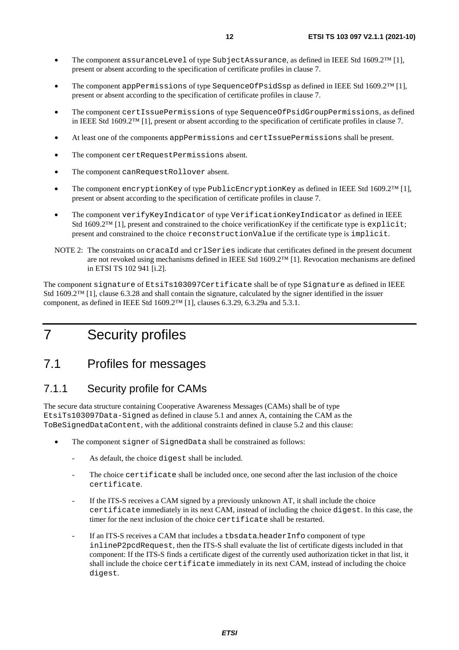- <span id="page-11-0"></span>• The component assuranceLevel of type SubjectAssurance, as defined in IEEE Std 1609.2™ [\[1](#page-5-0)], present or absent according to the specification of certificate profiles in clause 7.
- The component appPermissions of type SequenceOfPsidSsp as defined in IEEE Std 1609.2™ [[1\]](#page-5-0), present or absent according to the specification of certificate profiles in clause 7.
- The component certIssuePermissions of type SequenceOfPsidGroupPermissions, as defined in IEEE Std 1609.2™ [[1\]](#page-5-0), present or absent according to the specification of certificate profiles in clause 7.
- At least one of the components appPermissions and certIssuePermissions shall be present.
- The component certRequestPermissions absent.
- The component canRequestRollover absent.
- The component encryptionKey of type PublicEncryptionKey as defined in IEEE Std [1](#page-5-0)609.2™ [1], present or absent according to the specification of certificate profiles in clause 7.
- The component verifyKeyIndicator of type VerificationKeyIndicator as defined in IEEE Std 1609.2™ [\[1](#page-5-0)], present and constrained to the choice verificationKey if the certificate type is explicit; present and constrained to the choice reconstructionValue if the certificate type is implicit.
- NOTE 2: The constraints on cracaId and crlSeries indicate that certificates defined in the present document are not revoked using mechanisms defined in IEEE Std 1609.2™ [\[1](#page-5-0)]. Revocation mechanisms are defined in ETSI TS 102 941 [[i.2\]](#page-5-0).

The component signature of EtsiTs103097Certificate shall be of type Signature as defined in IEEE Std 1609.2™ [\[1](#page-5-0)], clause 6.3.28 and shall contain the signature, calculated by the signer identified in the issuer component, as defined in IEEE Std 1609.2™ [\[1](#page-5-0)], clauses 6.3.29, 6.3.29a and 5.3.1.

## 7 Security profiles

### 7.1 Profiles for messages

#### 7.1.1 Security profile for CAMs

The secure data structure containing Cooperative Awareness Messages (CAMs) shall be of type EtsiTs103097Data-Signed as defined in clause [5](#page-8-0).1 and annex A, containing the CAM as the ToBeSignedDataContent, with the additional constraints defined in clause 5.2 and this clause:

- The component signer of SignedData shall be constrained as follows:
	- As default, the choice digest shall be included.
	- The choice certificate shall be included once, one second after the last inclusion of the choice certificate.
	- If the ITS-S receives a CAM signed by a previously unknown AT, it shall include the choice certificate immediately in its next CAM, instead of including the choice digest. In this case, the timer for the next inclusion of the choice certificate shall be restarted.
	- If an ITS-S receives a CAM that includes a tbsdata.headerInfo component of type inlineP2pcdRequest, then the ITS-S shall evaluate the list of certificate digests included in that component: If the ITS-S finds a certificate digest of the currently used authorization ticket in that list, it shall include the choice certificate immediately in its next CAM, instead of including the choice digest.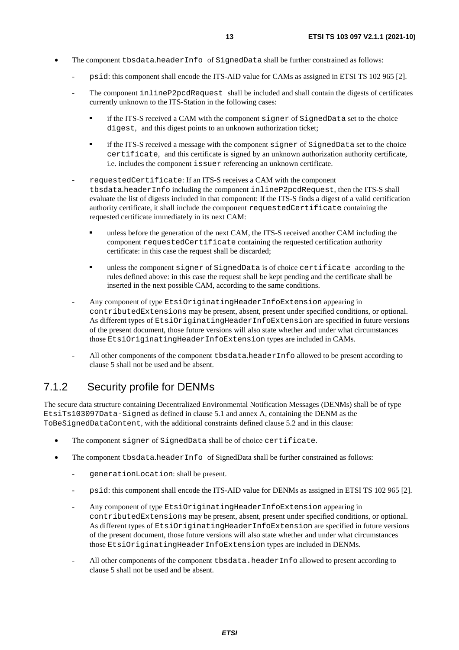- <span id="page-12-0"></span>The component tbsdata.headerInfo of SignedData shall be further constrained as follows:
	- psid: this component shall encode the ITS-AID value for CAMs as assigned in ETSI TS 102 965 [[2\]](#page-5-0).
	- The component inlineP2pcdRequest shall be included and shall contain the digests of certificates currently unknown to the ITS-Station in the following cases:
		- if the ITS-S received a CAM with the component signer of SignedData set to the choice digest, and this digest points to an unknown authorization ticket;
		- if the ITS-S received a message with the component signer of SignedData set to the choice certificate, and this certificate is signed by an unknown authorization authority certificate, i.e. includes the component issuer referencing an unknown certificate.
	- requestedCertificate: If an ITS-S receives a CAM with the component tbsdata.headerInfo including the component inlineP2pcdRequest, then the ITS-S shall evaluate the list of digests included in that component: If the ITS-S finds a digest of a valid certification authority certificate, it shall include the component requestedCertificate containing the requested certificate immediately in its next CAM:
		- unless before the generation of the next CAM, the ITS-S received another CAM including the component requestedCertificate containing the requested certification authority certificate: in this case the request shall be discarded;
		- unless the component signer of SignedData is of choice certificate according to the rules defined above: in this case the request shall be kept pending and the certificate shall be inserted in the next possible CAM, according to the same conditions.
	- Any component of type EtsiOriginatingHeaderInfoExtension appearing in contributedExtensions may be present, absent, present under specified conditions, or optional. As different types of EtsiOriginatingHeaderInfoExtension are specified in future versions of the present document, those future versions will also state whether and under what circumstances those EtsiOriginatingHeaderInfoExtension types are included in CAMs.
	- All other components of the component tbsdata.headerInfo allowed to be present according to clause 5 shall not be used and be absent.

### 7.1.2 Security profile for DENMs

The secure data structure containing Decentralized Environmental Notification Messages (DENMs) shall be of type EtsiTs103097Data-Signed as defined in clause 5.1 and annex A, containing the DENM as the ToBeSignedDataContent, with the additional constraints defined clause 5.2 and in this clause:

- The component signer of SignedData shall be of choice certificate.
- The component tbsdata.headerInfo of SignedData shall be further constrained as follows:
	- generationLocation: shall be present.
	- psid: this component shall encode the ITS-AID value for DENMs as assigned in ETSI TS 102 965 [\[2](#page-5-0)].
	- Any component of type EtsiOriginatingHeaderInfoExtension appearing in contributedExtensions may be present, absent, present under specified conditions, or optional. As different types of EtsiOriginatingHeaderInfoExtension are specified in future versions of the present document, those future versions will also state whether and under what circumstances those EtsiOriginatingHeaderInfoExtension types are included in DENMs.
	- All other components of the component tbsdata.headerInfo allowed to present according to clause 5 shall not be used and be absent.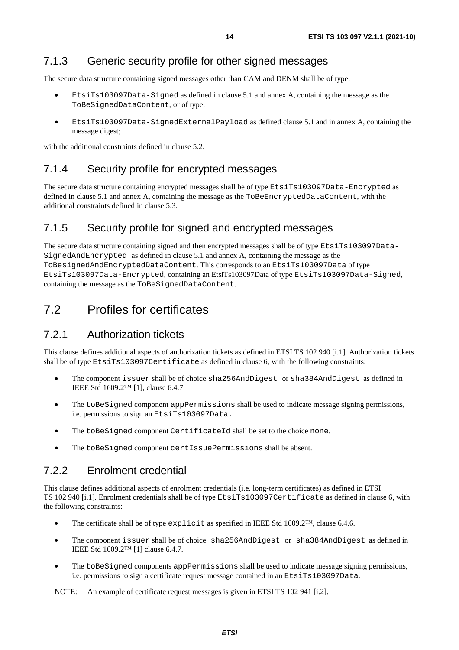#### <span id="page-13-0"></span>7.1.3 Generic security profile for other signed messages

The secure data structure containing signed messages other than CAM and DENM shall be of type:

- EtsiTs103097Data-Signed as defined in clause 5.1 and annex A, containing the message as the ToBeSignedDataContent, or of type;
- EtsiTs103097Data-SignedExternalPayload as defined clause 5.1 and in annex A, containing the message digest;

with the additional constraints defined in clause 5.2.

#### 7.1.4 Security profile for encrypted messages

The secure data structure containing encrypted messages shall be of type EtsiTs103097Data-Encrypted as defined in clause 5.1 and annex A, containing the message as the ToBeEncryptedDataContent, with the additional constraints defined in clause 5.3.

#### 7.1.5 Security profile for signed and encrypted messages

The secure data structure containing signed and then encrypted messages shall be of type EtsiTs103097Data-SignedAndEncrypted as defined in clause 5.1 and annex A, containing the message as the ToBesignedAndEncryptedDataContent. This corresponds to an EtsiTs103097Data of type EtsiTs103097Data-Encrypted, containing an EtsiTs103097Data of type EtsiTs103097Data-Signed, containing the message as the ToBeSignedDataContent.

### 7.2 Profiles for certificates

#### 7.2.1 Authorization tickets

This clause defines additional aspects of authorization tickets as defined in ETSI TS 102 940 [[i.1](#page-5-0)]. Authorization tickets shall be of type EtsiTs103097Certificate as defined in clause 6, with the following constraints:

- The component issuer shall be of choice sha256AndDigest or sha384AndDigest as defined in IEEE Std 1609.2™ [[1\]](#page-5-0), clause 6.4.7.
- The toBeSigned component appPermissions shall be used to indicate message signing permissions, i.e. permissions to sign an EtsiTs103097Data.
- The toBeSigned component CertificateId shall be set to the choice none.
- The toBeSigned component certIssuePermissions shall be absent.

#### 7.2.2 Enrolment credential

This clause defines additional aspects of enrolment credentials (i.e. long-term certificates) as defined in ETSI TS 102 940 [\[i.1](#page-5-0)]. Enrolment credentials shall be of type EtsiTs103097Certificate as defined in clause 6, with the following constraints:

- The certificate shall be of type explicit as specified in IEEE Std  $1609.2^{\text{TM}}$ , clause 6.4.6.
- The component issuer shall be of choice sha256AndDigest or sha384AndDigest as defined in IEEE Std 1609.2™ [[1\]](#page-5-0) clause 6.4.7.
- The toBeSigned components appPermissions shall be used to indicate message signing permissions, i.e. permissions to sign a certificate request message contained in an EtsiTs103097Data.

NOTE: An example of certificate request messages is given in ETSI TS 102 941 [[i.2](#page-5-0)].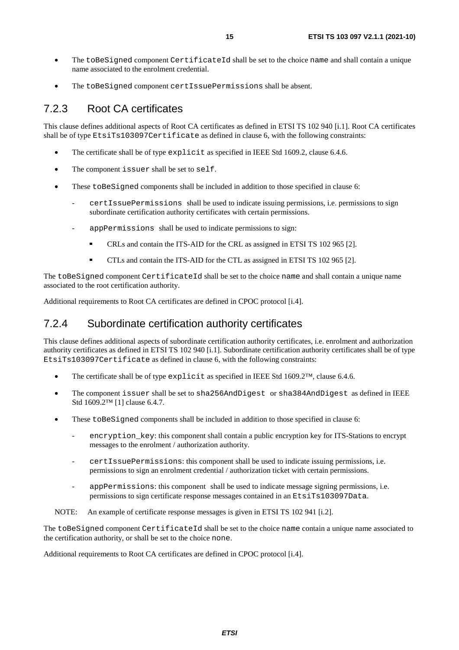- <span id="page-14-0"></span>• The toBeSigned component CertificateId shall be set to the choice name and shall contain a unique name associated to the enrolment credential.
- The toBeSigned component certIssuePermissions shall be absent.

#### 7.2.3 Root CA certificates

This clause defines additional aspects of Root CA certificates as defined in ETSI TS 102 940 [\[i.1](#page-5-0)]. Root CA certificates shall be of type EtsiTs103097Certificate as defined in clause 6, with the following constraints:

- The certificate shall be of type explicit as specified in IEEE Std 1609.2, clause 6.4.6.
- The component issuer shall be set to self.
- These toBeSigned components shall be included in addition to those specified in clause 6:
	- certIssuePermissions shall be used to indicate issuing permissions, i.e. permissions to sign subordinate certification authority certificates with certain permissions.
	- appPermissions shall be used to indicate permissions to sign:
		- CRLs and contain the ITS-AID for the CRL as assigned in ETSI TS 102 965 [[2\]](#page-5-0).
		- CTLs and contain the ITS-AID for the CTL as assigned in ETSI TS 102 965 [\[2](#page-5-0)].

The toBeSigned component CertificateId shall be set to the choice name and shall contain a unique name associated to the root certification authority.

Additional requirements to Root CA certificates are defined in CPOC protocol [\[i.4](#page-6-0)].

#### 7.2.4 Subordinate certification authority certificates

This clause defines additional aspects of subordinate certification authority certificates, i.e. enrolment and authorization authority certificates as defined in ETSI TS 102 940 [\[i.1](#page-5-0)]. Subordinate certification authority certificates shall be of type EtsiTs103097Certificate as defined in clause 6, with the following constraints:

- The certificate shall be of type explicit as specified in IEEE Std  $1609.2^{\text{TM}}$ , clause 6.4.6.
- The component issuer shall be set to sha256AndDigest or sha384AndDigest as defined in IEEE Std 1609.2™ [\[1](#page-5-0)] clause 6.4.7.
- These toBeSigned components shall be included in addition to those specified in clause 6:
	- encryption key: this component shall contain a public encryption key for ITS-Stations to encrypt messages to the enrolment / authorization authority.
	- certIssuePermissions: this component shall be used to indicate issuing permissions, i.e. permissions to sign an enrolment credential / authorization ticket with certain permissions.
	- appPermissions: this component shall be used to indicate message signing permissions, i.e. permissions to sign certificate response messages contained in an EtsiTs103097Data.
- NOTE: An example of certificate response messages is given in ETSI TS 102 941 [[i.2](#page-5-0)].

The toBeSigned component CertificateId shall be set to the choice name contain a unique name associated to the certification authority, or shall be set to the choice none.

Additional requirements to Root CA certificates are defined in CPOC protocol [\[i.4](#page-6-0)].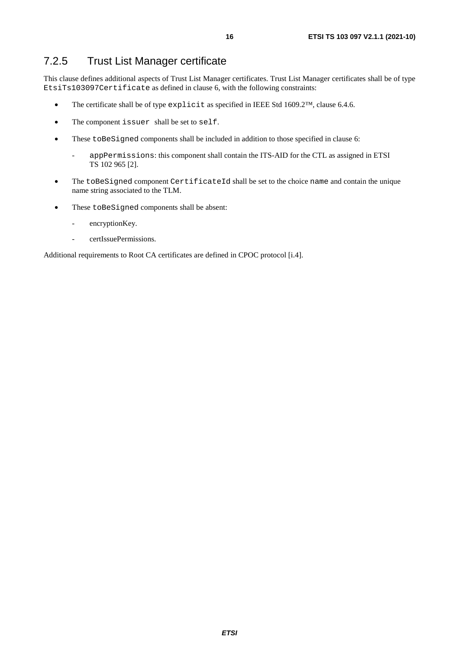### <span id="page-15-0"></span>7.2.5 Trust List Manager certificate

This clause defines additional aspects of Trust List Manager certificates. Trust List Manager certificates shall be of type EtsiTs103097Certificate as defined in clause 6, with the following constraints:

- The certificate shall be of type explicit as specified in IEEE Std 1609.2™, clause 6.4.6.
- The component issuer shall be set to self.
- These toBeSigned components shall be included in addition to those specified in clause 6:
	- appPermissions: this component shall contain the ITS-AID for the CTL as assigned in ETSI TS 102 965 [[2\]](#page-5-0).
- The toBeSigned component CertificateId shall be set to the choice name and contain the unique name string associated to the TLM.
- These toBeSigned components shall be absent:
	- encryptionKey.
	- certIssuePermissions.

Additional requirements to Root CA certificates are defined in CPOC protocol [\[i.4](#page-6-0)].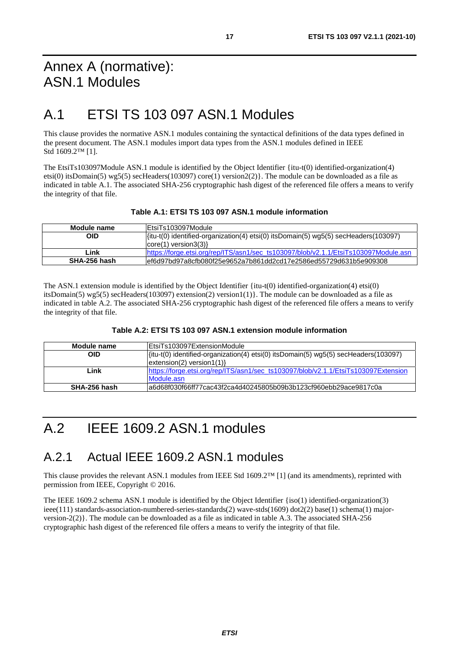## <span id="page-16-0"></span>Annex A (normative): ASN.1 Modules

## A.1 ETSI TS 103 097 ASN.1 Modules

This clause provides the normative ASN.1 modules containing the syntactical definitions of the data types defined in the present document. The ASN.1 modules import data types from the ASN.1 modules defined in IEEE Std 1609.2™ [\[1](#page-5-0)].

The EtsiTs103097Module ASN.1 module is identified by the Object Identifier {itu-t(0) identified-organization(4) etsi(0) itsDomain(5) wg5(5) secHeaders(103097) core(1) version2(2)}. The module can be downloaded as a file as indicated in table A.1. The associated SHA-256 cryptographic hash digest of the referenced file offers a means to verify the integrity of that file.

#### **Table A.1: ETSI TS 103 097 ASN.1 module information**

| Module name  | EtsiTs103097Module                                                                  |
|--------------|-------------------------------------------------------------------------------------|
| OID          | {itu-t(0) identified-organization(4) etsi(0) itsDomain(5) wg5(5) secHeaders(103097) |
|              | $ core(1)$ version $3(3)$                                                           |
| Link         | https://forge.etsi.org/rep/ITS/asn1/sec_ts103097/blob/v2.1.1/EtsiTs103097Module.asn |
| SHA-256 hash | lef6d97bd97a8cfb080f25e9652a7b861dd2cd17e2586ed55729d631b5e909308                   |

The ASN.1 extension module is identified by the Object Identifier {itu-t(0) identified-organization(4) etsi(0) itsDomain(5) wg5(5) secHeaders(103097) extension(2) version1(1)}. The module can be downloaded as a file as indicated in table A.2. The associated SHA-256 cryptographic hash digest of the referenced file offers a means to verify the integrity of that file.

#### **Table A.2: ETSI TS 103 097 ASN.1 extension module information**

| Module name  | IEtsiTs103097ExtensionModule                                                                                                                             |
|--------------|----------------------------------------------------------------------------------------------------------------------------------------------------------|
| <b>OID</b>   | $\left  \frac{\text{fitu-t}(0) \text{ identified-organization}(4) \text{etsi}(0) \text{ itsDomain}(5) \text{ wgs}(5) \text{ secHeaders}(103097) \right $ |
|              | extension(2) version(1)                                                                                                                                  |
| Link         | https://forge.etsi.org/rep/ITS/asn1/sec_ts103097/blob/v2.1.1/EtsiTs103097Extension                                                                       |
|              | Module.asn                                                                                                                                               |
| SHA-256 hash | la6d68f030f66ff77cac43f2ca4d40245805b09b3b123cf960ebb29ace9817c0a                                                                                        |

## A.2 IEEE 1609.2 ASN.1 modules

### A.2.1 Actual IEEE 1609.2 ASN.1 modules

This clause provides the relevant ASN.1 modules from IEEE Std 1609.2™ [\[1](#page-5-0)] (and its amendments), reprinted with permission from IEEE, Copyright © 2016.

The IEEE 1609.2 schema ASN.1 module is identified by the Object Identifier {iso(1) identified-organization(3) ieee(111) standards-association-numbered-series-standards(2) wave-stds(1609) dot2(2) base(1) schema(1) majorversion-2(2)}. The module can be downloaded as a file as indicated in table A.3. The associated SHA-256 cryptographic hash digest of the referenced file offers a means to verify the integrity of that file.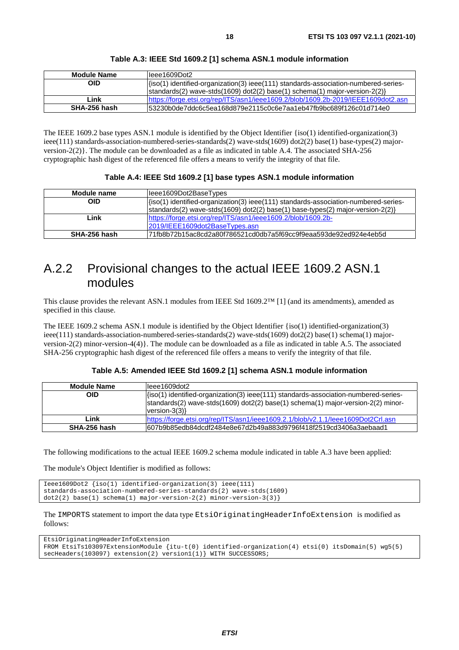<span id="page-17-0"></span>

| <b>Module Name</b> | leee1609Dot2                                                                                      |
|--------------------|---------------------------------------------------------------------------------------------------|
| OID                | $\frac{1}{1}$ (iso(1) identified-organization(3) ieee(111) standards-association-numbered-series- |
|                    | $ $ standards(2) wave-stds(1609) dot2(2) base(1) schema(1) major-version-2(2) $\rangle$           |
| Link               | https://forge.etsi.org/rep/ITS/asn1/jeee1609.2/blob/1609.2b-2019/IEEE1609dot2.asn                 |
| SHA-256 hash       | l53230b0de7ddc6c5ea168d879e2115c0c6e7aa1eb47fb9bc689f126c01d714e0                                 |

#### **Table A.3: IEEE Std 1609.2 [[1](#page-5-0)] schema ASN.1 module information**

The IEEE 1609.2 base types ASN.1 module is identified by the Object Identifier {iso(1) identified-organization(3) ieee(111) standards-association-numbered-series-standards(2) wave-stds(1609) dot2(2) base(1) base-types(2) majorversion-2(2)}. The module can be downloaded as a file as indicated in table A.4. The associated SHA-256 cryptographic hash digest of the referenced file offers a means to verify the integrity of that file.

#### **Table A.4: IEEE Std 1609.2 [\[1\]](#page-5-0) base types ASN.1 module information**

| Module name  | leee1609Dot2BaseTypes                                                                             |
|--------------|---------------------------------------------------------------------------------------------------|
| <b>OID</b>   | $\frac{1}{1}$ (iso(1) identified-organization(3) ieee(111) standards-association-numbered-series- |
|              | $ stands(2)$ wave-stds(1609) dot2(2) base(1) base-types(2) major-version-2(2)}                    |
| Link         | https://forge.etsi.org/rep/ITS/asn1/ieee1609.2/blob/1609.2b-                                      |
|              | 2019/IEEE1609dot2BaseTypes.asn                                                                    |
| SHA-256 hash | 71fb8b72b15ac8cd2a80f786521cd0db7a5f69cc9f9eaa593de92ed924e4eb5d                                  |

### A.2.2 Provisional changes to the actual IEEE 1609.2 ASN.1 modules

This clause provides the relevant ASN.1 modules from IEEE Std 1609.2™ [\[1](#page-5-0)] (and its amendments), amended as specified in this clause.

The IEEE 1609.2 schema ASN.1 module is identified by the Object Identifier {iso(1) identified-organization(3) ieee(111) standards-association-numbered-series-standards(2) wave-stds(1609) dot2(2) base(1) schema(1) majorversion-2(2) minor-version-4(4)}. The module can be downloaded as a file as indicated in table A.5. The associated SHA-256 cryptographic hash digest of the referenced file offers a means to verify the integrity of that file.

#### **Table A.5: Amended IEEE Std 1609.2 [[1](#page-5-0)] schema ASN.1 module information**

| <b>Module Name</b> | IIeee1609dot2                                                                                                                                                                                            |
|--------------------|----------------------------------------------------------------------------------------------------------------------------------------------------------------------------------------------------------|
| <b>OID</b>         | $\frac{1}{1}$ (iso(1) identified-organization(3) ieee(111) standards-association-numbered-series-<br>standards(2) wave-stds(1609) dot2(2) base(1) schema(1) major-version-2(2) minor-<br>version- $3(3)$ |
| Link               | https://forge.etsi.org/rep/ITS/asn1/ieee1609.2.1/blob/v2.1.1/leee1609Dot2Crl.asn                                                                                                                         |
| SHA-256 hash       | l607b9b85edb84dcdf2484e8e67d2b49a883d9796f418f2519cd3406a3aebaad1                                                                                                                                        |

The following modifications to the actual IEEE 1609.2 schema module indicated in table A.3 have been applied:

The module's Object Identifier is modified as follows:

```
Ieee1609Dot2 {iso(1) identified-organization(3) ieee(111) 
standards-association-numbered-series-standards(2) wave-stds(1609) 
dot2(2) base(1) scheme(1) major-version-2(2) minor-version-3(3)
```
The IMPORTS statement to import the data type EtsiOriginatingHeaderInfoExtension is modified as follows:

```
EtsiOriginatingHeaderInfoExtension 
FROM EtsiTs103097ExtensionModule {itu-t(0) identified-organization(4) etsi(0) itsDomain(5) wg5(5) 
secHeaders(103097) extension(2) version1(1)} WITH SUCCESSORS;
```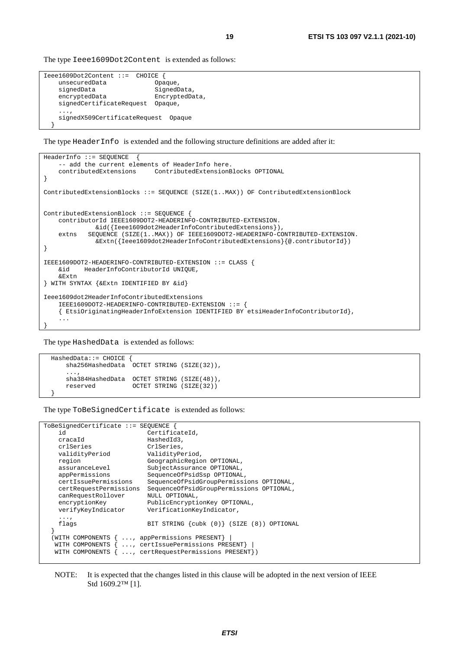The type Ieee1609Dot2Content is extended as follows:

```
Ieee1609Dot2Content ::= CHOICE { 
    unsecuredData Opaque,<br>signedData SignedData
                              signedData,
    encryptedData EncryptedData,
     signedCertificateRequest Opaque, 
 ..., 
     signedX509CertificateRequest Opaque 
 }
```
The type HeaderInfo is extended and the following structure definitions are added after it:

```
HeaderInfo ::= SEQUENCE
     - add the current elements of HeaderInfo here.
     contributedExtensions ContributedExtensionBlocks OPTIONAL 
} 
ContributedExtensionBlocks ::= SEQUENCE (SIZE(1..MAX)) OF ContributedExtensionBlock 
ContributedExtensionBlock ::= SEQUENCE { 
     contributorId IEEE1609DOT2-HEADERINFO-CONTRIBUTED-EXTENSION. 
               &id({Ieee1609dot2HeaderInfoContributedExtensions}), 
     extns SEQUENCE (SIZE(1..MAX)) OF IEEE1609DOT2-HEADERINFO-CONTRIBUTED-EXTENSION. 
               &Extn({Ieee1609dot2HeaderInfoContributedExtensions}{@.contributorId}) 
} 
IEEE1609DOT2-HEADERINFO-CONTRIBUTED-EXTENSION ::= CLASS { 
     &id HeaderInfoContributorId UNIQUE, 
     &Extn 
} WITH SYNTAX {&Extn IDENTIFIED BY &id} 
Ieee1609dot2HeaderInfoContributedExtensions 
     IEEE1609DOT2-HEADERINFO-CONTRIBUTED-EXTENSION ::= { 
     { EtsiOriginatingHeaderInfoExtension IDENTIFIED BY etsiHeaderInfoContributorId}, 
     ... 
}
```
The type HashedData is extended as follows:

```
HashedData::= CHOICE {
      sha256HashedData OCTET STRING (SIZE(32)), 
 ..., 
      sha384HashedData OCTET STRING (SIZE(48)), 
                      OCTET STRING (SIZE(32))
 }
```
The type ToBeSignedCertificate is extended as follows:

| ToBeSignedCertificate ::= SEOUENCE                    |                                                                                                    |
|-------------------------------------------------------|----------------------------------------------------------------------------------------------------|
| id                                                    | CertificateId,                                                                                     |
| cracaId                                               | HashedId3,                                                                                         |
| crlSeries                                             | CrlSeries,                                                                                         |
| validityPeriod                                        | ValidityPeriod,                                                                                    |
| region                                                | GeographicRegion OPTIONAL,                                                                         |
| assuranceLevel                                        | SubjectAssurance OPTIONAL,                                                                         |
| appPermissions                                        | SequenceOfPsidSsp OPTIONAL,                                                                        |
| certIssuePermissions                                  | SequenceOfPsidGroupPermissions OPTIONAL,                                                           |
| certRequestPermissions                                | SequenceOfPsidGroupPermissions OPTIONAL,                                                           |
| canRequestRollover                                    | NULL OPTIONAL,                                                                                     |
| encryptionKey                                         | PublicEncryptionKey OPTIONAL,                                                                      |
| verifyKeyIndicator                                    | VerificationKeyIndicator,                                                                          |
| $\cdots$<br>flags                                     | BIT STRING $\{\text{cubk}(0)\}$ (SIZE $(8)$ ) OPTIONAL                                             |
| WITH COMPONENTS<br>WITH COMPONENTS<br>WITH COMPONENTS | , appPermissions PRESENT}<br>, certIssuePermissions PRESENT}<br>, certRequestPermissions PRESENT}) |

NOTE: It is expected that the changes listed in this clause will be adopted in the next version of IEEE Std 1609.2™ [\[1](#page-5-0)].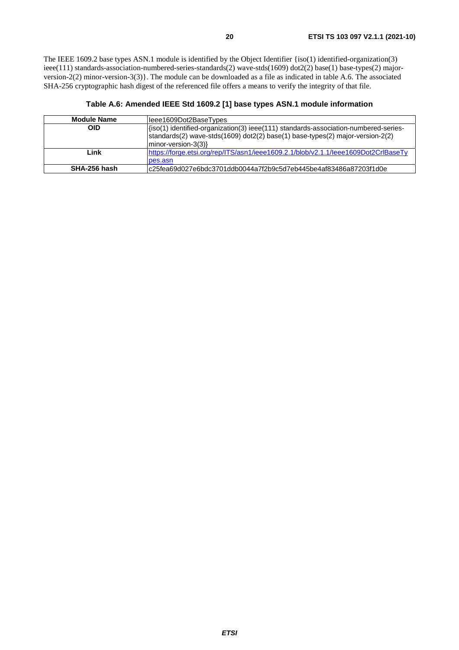The IEEE 1609.2 base types ASN.1 module is identified by the Object Identifier {iso(1) identified-organization(3) ieee(111) standards-association-numbered-series-standards(2) wave-stds(1609) dot2(2) base(1) base-types(2) majorversion-2(2) minor-version-3(3)}. The module can be downloaded as a file as indicated in table A.6. The associated SHA-256 cryptographic hash digest of the referenced file offers a means to verify the integrity of that file.

#### **Table A.6: Amended IEEE Std 1609.2 [[1](#page-5-0)] base types ASN.1 module information**

| <b>Module Name</b> | leee1609Dot2BaseTypes                                                                                                                                                                                |
|--------------------|------------------------------------------------------------------------------------------------------------------------------------------------------------------------------------------------------|
| <b>OID</b>         | {iso(1) identified-organization(3) ieee(111) standards-association-numbered-series-<br>standards(2) wave-stds(1609) dot2(2) base(1) base-types(2) major-version-2(2)<br>$ minor-version-3(3)\rangle$ |
| Link               | https://forge.etsi.org/rep/ITS/asn1/ieee1609.2.1/blob/v2.1.1/leee1609Dot2CrlBaseTy                                                                                                                   |
|                    | pes.asn                                                                                                                                                                                              |
| SHA-256 hash       | lc25fea69d027e6bdc3701ddb0044a7f2b9c5d7eb445be4af83486a87203f1d0e                                                                                                                                    |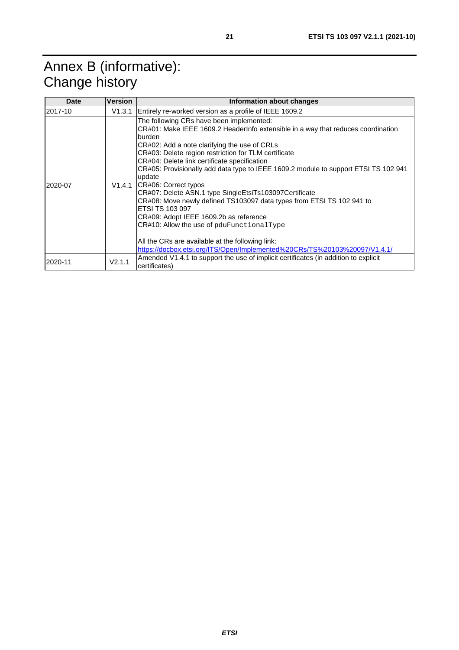## <span id="page-20-0"></span>Annex B (informative): Change history

| Date    | Version | Information about changes                                                                                                                                                                                                                                                                                                                                                                                                                                                                                                                                                                                                                                                                                                                                                                                    |
|---------|---------|--------------------------------------------------------------------------------------------------------------------------------------------------------------------------------------------------------------------------------------------------------------------------------------------------------------------------------------------------------------------------------------------------------------------------------------------------------------------------------------------------------------------------------------------------------------------------------------------------------------------------------------------------------------------------------------------------------------------------------------------------------------------------------------------------------------|
| 2017-10 | V1.3.1  | Entirely re-worked version as a profile of IEEE 1609.2                                                                                                                                                                                                                                                                                                                                                                                                                                                                                                                                                                                                                                                                                                                                                       |
| 2020-07 | V1.4.1  | The following CRs have been implemented:<br>CR#01: Make IEEE 1609.2 HeaderInfo extensible in a way that reduces coordination<br>burden<br>CR#02: Add a note clarifying the use of CRLs<br>CR#03: Delete region restriction for TLM certificate<br>CR#04: Delete link certificate specification<br>CR#05: Provisionally add data type to IEEE 1609.2 module to support ETSI TS 102 941<br>update<br>CR#06: Correct typos<br>CR#07: Delete ASN.1 type SingleEtsiTs103097Certificate<br>CR#08: Move newly defined TS103097 data types from ETSI TS 102 941 to<br><b>ETSI TS 103 097</b><br>CR#09: Adopt IEEE 1609.2b as reference<br>CR#10: Allow the use of pduFunctionalType<br>All the CRs are available at the following link:<br>https://docbox.etsi.org/ITS/Open/Implemented%20CRs/TS%20103%20097/V1.4.1/ |
| 2020-11 | V2.1.1  | Amended V1.4.1 to support the use of implicit certificates (in addition to explicit<br>lcertificates)                                                                                                                                                                                                                                                                                                                                                                                                                                                                                                                                                                                                                                                                                                        |